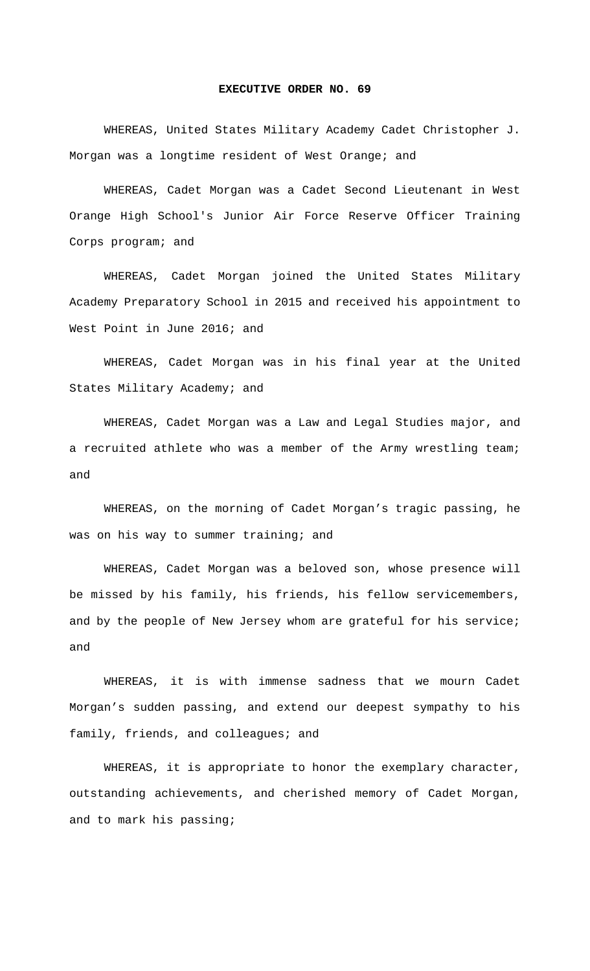## **EXECUTIVE ORDER NO. 69**

 WHEREAS, United States Military Academy Cadet Christopher J. Morgan was a longtime resident of West Orange; and

 WHEREAS, Cadet Morgan was a Cadet Second Lieutenant in West Orange High School's Junior Air Force Reserve Officer Training Corps program; and

 WHEREAS, Cadet Morgan joined the United States Military Academy Preparatory School in 2015 and received his appointment to West Point in June 2016; and

 WHEREAS, Cadet Morgan was in his final year at the United States Military Academy; and

 WHEREAS, Cadet Morgan was a Law and Legal Studies major, and a recruited athlete who was a member of the Army wrestling team; and

 WHEREAS, on the morning of Cadet Morgan's tragic passing, he was on his way to summer training; and

 WHEREAS, Cadet Morgan was a beloved son, whose presence will be missed by his family, his friends, his fellow servicemembers, and by the people of New Jersey whom are grateful for his service; and

 WHEREAS, it is with immense sadness that we mourn Cadet Morgan's sudden passing, and extend our deepest sympathy to his family, friends, and colleagues; and

 WHEREAS, it is appropriate to honor the exemplary character, outstanding achievements, and cherished memory of Cadet Morgan, and to mark his passing;